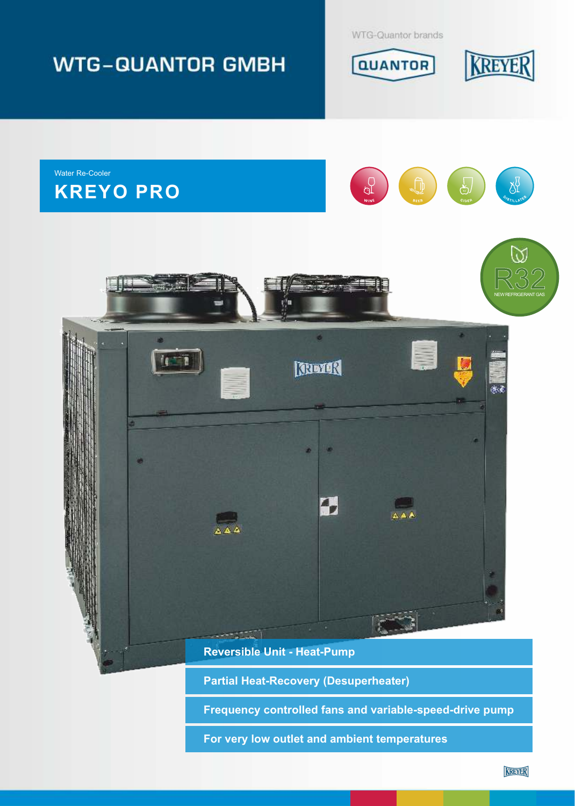

**Partial Heat-Recovery (Desuperheater)**

**Frequency controlled fans and variable-speed-drive pump** 

**For very low outlet and ambient temperatures**